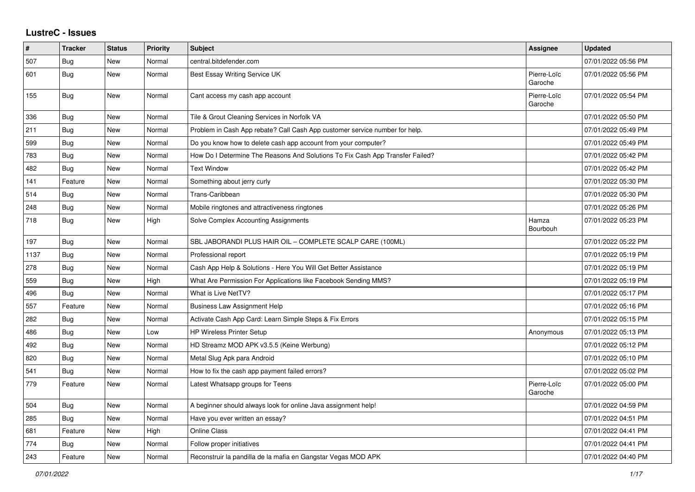## **LustreC - Issues**

| ∦    | <b>Tracker</b> | <b>Status</b> | <b>Priority</b> | <b>Subject</b>                                                                | <b>Assignee</b>        | <b>Updated</b>      |
|------|----------------|---------------|-----------------|-------------------------------------------------------------------------------|------------------------|---------------------|
| 507  | Bug            | New           | Normal          | central.bitdefender.com                                                       |                        | 07/01/2022 05:56 PM |
| 601  | Bug            | New           | Normal          | Best Essay Writing Service UK                                                 | Pierre-Loïc<br>Garoche | 07/01/2022 05:56 PM |
| 155  | Bug            | New           | Normal          | Cant access my cash app account                                               | Pierre-Loïc<br>Garoche | 07/01/2022 05:54 PM |
| 336  | Bug            | New           | Normal          | Tile & Grout Cleaning Services in Norfolk VA                                  |                        | 07/01/2022 05:50 PM |
| 211  | Bug            | <b>New</b>    | Normal          | Problem in Cash App rebate? Call Cash App customer service number for help.   |                        | 07/01/2022 05:49 PM |
| 599  | <b>Bug</b>     | <b>New</b>    | Normal          | Do you know how to delete cash app account from your computer?                |                        | 07/01/2022 05:49 PM |
| 783  | Bug            | New           | Normal          | How Do I Determine The Reasons And Solutions To Fix Cash App Transfer Failed? |                        | 07/01/2022 05:42 PM |
| 482  | Bug            | New           | Normal          | <b>Text Window</b>                                                            |                        | 07/01/2022 05:42 PM |
| 141  | Feature        | New           | Normal          | Something about jerry curly                                                   |                        | 07/01/2022 05:30 PM |
| 514  | <b>Bug</b>     | New           | Normal          | Trans-Caribbean                                                               |                        | 07/01/2022 05:30 PM |
| 248  | Bug            | New           | Normal          | Mobile ringtones and attractiveness ringtones                                 |                        | 07/01/2022 05:26 PM |
| 718  | Bug            | New           | High            | Solve Complex Accounting Assignments                                          | Hamza<br>Bourbouh      | 07/01/2022 05:23 PM |
| 197  | Bug            | New           | Normal          | SBL JABORANDI PLUS HAIR OIL - COMPLETE SCALP CARE (100ML)                     |                        | 07/01/2022 05:22 PM |
| 1137 | <b>Bug</b>     | New           | Normal          | Professional report                                                           |                        | 07/01/2022 05:19 PM |
| 278  | Bug            | New           | Normal          | Cash App Help & Solutions - Here You Will Get Better Assistance               |                        | 07/01/2022 05:19 PM |
| 559  | <b>Bug</b>     | New           | High            | What Are Permission For Applications like Facebook Sending MMS?               |                        | 07/01/2022 05:19 PM |
| 496  | Bug            | <b>New</b>    | Normal          | What is Live NetTV?                                                           |                        | 07/01/2022 05:17 PM |
| 557  | Feature        | New           | Normal          | <b>Business Law Assignment Help</b>                                           |                        | 07/01/2022 05:16 PM |
| 282  | <b>Bug</b>     | New           | Normal          | Activate Cash App Card: Learn Simple Steps & Fix Errors                       |                        | 07/01/2022 05:15 PM |
| 486  | <b>Bug</b>     | <b>New</b>    | Low             | <b>HP Wireless Printer Setup</b>                                              | Anonymous              | 07/01/2022 05:13 PM |
| 492  | Bug            | New           | Normal          | HD Streamz MOD APK v3.5.5 (Keine Werbung)                                     |                        | 07/01/2022 05:12 PM |
| 820  | Bug            | New           | Normal          | Metal Slug Apk para Android                                                   |                        | 07/01/2022 05:10 PM |
| 541  | Bug            | New           | Normal          | How to fix the cash app payment failed errors?                                |                        | 07/01/2022 05:02 PM |
| 779  | Feature        | New           | Normal          | Latest Whatsapp groups for Teens                                              | Pierre-Loïc<br>Garoche | 07/01/2022 05:00 PM |
| 504  | Bug            | New           | Normal          | A beginner should always look for online Java assignment help!                |                        | 07/01/2022 04:59 PM |
| 285  | Bug            | <b>New</b>    | Normal          | Have you ever written an essay?                                               |                        | 07/01/2022 04:51 PM |
| 681  | Feature        | New           | High            | Online Class                                                                  |                        | 07/01/2022 04:41 PM |
| 774  | Bug            | New           | Normal          | Follow proper initiatives                                                     |                        | 07/01/2022 04:41 PM |
| 243  | Feature        | New           | Normal          | Reconstruir la pandilla de la mafia en Gangstar Vegas MOD APK                 |                        | 07/01/2022 04:40 PM |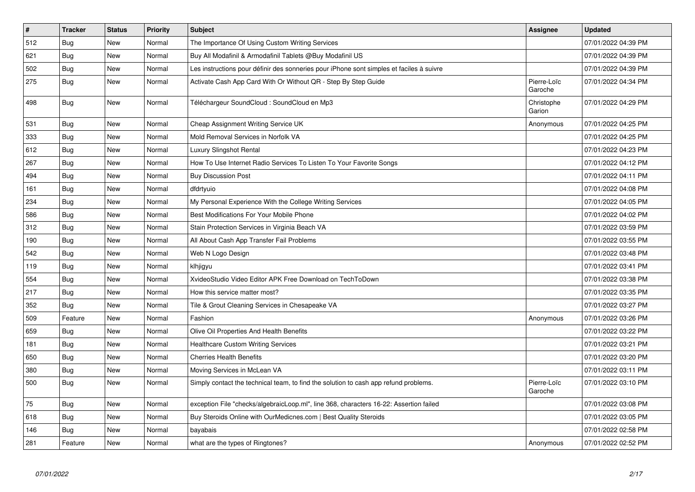| $\vert$ # | <b>Tracker</b> | <b>Status</b> | Priority | <b>Subject</b>                                                                           | Assignee               | <b>Updated</b>      |
|-----------|----------------|---------------|----------|------------------------------------------------------------------------------------------|------------------------|---------------------|
| 512       | Bug            | New           | Normal   | The Importance Of Using Custom Writing Services                                          |                        | 07/01/2022 04:39 PM |
| 621       | Bug            | <b>New</b>    | Normal   | Buy All Modafinil & Armodafinil Tablets @Buy Modafinil US                                |                        | 07/01/2022 04:39 PM |
| 502       | Bug            | New           | Normal   | Les instructions pour définir des sonneries pour iPhone sont simples et faciles à suivre |                        | 07/01/2022 04:39 PM |
| 275       | <b>Bug</b>     | New           | Normal   | Activate Cash App Card With Or Without QR - Step By Step Guide                           | Pierre-Loïc<br>Garoche | 07/01/2022 04:34 PM |
| 498       | Bug            | <b>New</b>    | Normal   | Téléchargeur SoundCloud : SoundCloud en Mp3                                              | Christophe<br>Garion   | 07/01/2022 04:29 PM |
| 531       | Bug            | <b>New</b>    | Normal   | Cheap Assignment Writing Service UK                                                      | Anonymous              | 07/01/2022 04:25 PM |
| 333       | <b>Bug</b>     | New           | Normal   | Mold Removal Services in Norfolk VA                                                      |                        | 07/01/2022 04:25 PM |
| 612       | Bug            | New           | Normal   | <b>Luxury Slingshot Rental</b>                                                           |                        | 07/01/2022 04:23 PM |
| 267       | <b>Bug</b>     | New           | Normal   | How To Use Internet Radio Services To Listen To Your Favorite Songs                      |                        | 07/01/2022 04:12 PM |
| 494       | Bug            | <b>New</b>    | Normal   | <b>Buy Discussion Post</b>                                                               |                        | 07/01/2022 04:11 PM |
| 161       | Bug            | New           | Normal   | dfdrtyuio                                                                                |                        | 07/01/2022 04:08 PM |
| 234       | Bug            | New           | Normal   | My Personal Experience With the College Writing Services                                 |                        | 07/01/2022 04:05 PM |
| 586       | <b>Bug</b>     | New           | Normal   | Best Modifications For Your Mobile Phone                                                 |                        | 07/01/2022 04:02 PM |
| 312       | Bug            | New           | Normal   | Stain Protection Services in Virginia Beach VA                                           |                        | 07/01/2022 03:59 PM |
| 190       | Bug            | New           | Normal   | All About Cash App Transfer Fail Problems                                                |                        | 07/01/2022 03:55 PM |
| 542       | Bug            | New           | Normal   | Web N Logo Design                                                                        |                        | 07/01/2022 03:48 PM |
| 119       | <b>Bug</b>     | New           | Normal   | klhjigyu                                                                                 |                        | 07/01/2022 03:41 PM |
| 554       | Bug            | <b>New</b>    | Normal   | XvideoStudio Video Editor APK Free Download on TechToDown                                |                        | 07/01/2022 03:38 PM |
| 217       | Bug            | New           | Normal   | How this service matter most?                                                            |                        | 07/01/2022 03:35 PM |
| 352       | Bug            | <b>New</b>    | Normal   | Tile & Grout Cleaning Services in Chesapeake VA                                          |                        | 07/01/2022 03:27 PM |
| 509       | Feature        | New           | Normal   | Fashion                                                                                  | Anonymous              | 07/01/2022 03:26 PM |
| 659       | <b>Bug</b>     | <b>New</b>    | Normal   | Olive Oil Properties And Health Benefits                                                 |                        | 07/01/2022 03:22 PM |
| 181       | Bug            | New           | Normal   | Healthcare Custom Writing Services                                                       |                        | 07/01/2022 03:21 PM |
| 650       | <b>Bug</b>     | New           | Normal   | <b>Cherries Health Benefits</b>                                                          |                        | 07/01/2022 03:20 PM |
| 380       | <b>Bug</b>     | New           | Normal   | Moving Services in McLean VA                                                             |                        | 07/01/2022 03:11 PM |
| 500       | <b>Bug</b>     | New           | Normal   | Simply contact the technical team, to find the solution to cash app refund problems.     | Pierre-Loïc<br>Garoche | 07/01/2022 03:10 PM |
| 75        | <b>Bug</b>     | New           | Normal   | exception File "checks/algebraicLoop.ml", line 368, characters 16-22: Assertion failed   |                        | 07/01/2022 03:08 PM |
| 618       | Bug            | New           | Normal   | Buy Steroids Online with OurMedicnes.com   Best Quality Steroids                         |                        | 07/01/2022 03:05 PM |
| 146       | <b>Bug</b>     | New           | Normal   | bayabais                                                                                 |                        | 07/01/2022 02:58 PM |
| 281       | Feature        | New           | Normal   | what are the types of Ringtones?                                                         | Anonymous              | 07/01/2022 02:52 PM |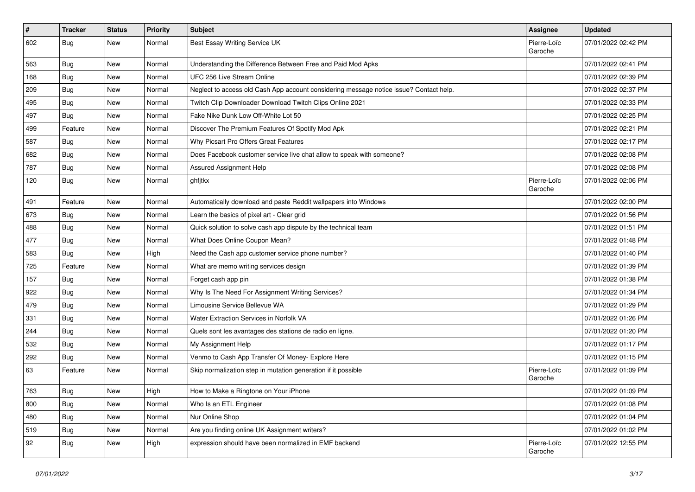| $\pmb{\#}$ | <b>Tracker</b> | <b>Status</b> | Priority | Subject                                                                                | <b>Assignee</b>        | <b>Updated</b>      |
|------------|----------------|---------------|----------|----------------------------------------------------------------------------------------|------------------------|---------------------|
| 602        | <b>Bug</b>     | New           | Normal   | Best Essay Writing Service UK                                                          | Pierre-Loïc<br>Garoche | 07/01/2022 02:42 PM |
| 563        | Bug            | New           | Normal   | Understanding the Difference Between Free and Paid Mod Apks                            |                        | 07/01/2022 02:41 PM |
| 168        | <b>Bug</b>     | New           | Normal   | UFC 256 Live Stream Online                                                             |                        | 07/01/2022 02:39 PM |
| 209        | Bug            | New           | Normal   | Neglect to access old Cash App account considering message notice issue? Contact help. |                        | 07/01/2022 02:37 PM |
| 495        | <b>Bug</b>     | New           | Normal   | Twitch Clip Downloader Download Twitch Clips Online 2021                               |                        | 07/01/2022 02:33 PM |
| 497        | <b>Bug</b>     | New           | Normal   | Fake Nike Dunk Low Off-White Lot 50                                                    |                        | 07/01/2022 02:25 PM |
| 499        | Feature        | New           | Normal   | Discover The Premium Features Of Spotify Mod Apk                                       |                        | 07/01/2022 02:21 PM |
| 587        | <b>Bug</b>     | New           | Normal   | Why Picsart Pro Offers Great Features                                                  |                        | 07/01/2022 02:17 PM |
| 682        | <b>Bug</b>     | New           | Normal   | Does Facebook customer service live chat allow to speak with someone?                  |                        | 07/01/2022 02:08 PM |
| 787        | Bug            | New           | Normal   | Assured Assignment Help                                                                |                        | 07/01/2022 02:08 PM |
| 120        | <b>Bug</b>     | New           | Normal   | ghfjtkx                                                                                | Pierre-Loïc<br>Garoche | 07/01/2022 02:06 PM |
| 491        | Feature        | New           | Normal   | Automatically download and paste Reddit wallpapers into Windows                        |                        | 07/01/2022 02:00 PM |
| 673        | <b>Bug</b>     | New           | Normal   | Learn the basics of pixel art - Clear grid                                             |                        | 07/01/2022 01:56 PM |
| 488        | Bug            | New           | Normal   | Quick solution to solve cash app dispute by the technical team                         |                        | 07/01/2022 01:51 PM |
| 477        | <b>Bug</b>     | New           | Normal   | What Does Online Coupon Mean?                                                          |                        | 07/01/2022 01:48 PM |
| 583        | <b>Bug</b>     | New           | High     | Need the Cash app customer service phone number?                                       |                        | 07/01/2022 01:40 PM |
| 725        | Feature        | New           | Normal   | What are memo writing services design                                                  |                        | 07/01/2022 01:39 PM |
| 157        | Bug            | New           | Normal   | Forget cash app pin                                                                    |                        | 07/01/2022 01:38 PM |
| 922        | Bug            | New           | Normal   | Why Is The Need For Assignment Writing Services?                                       |                        | 07/01/2022 01:34 PM |
| 479        | Bug            | New           | Normal   | Limousine Service Bellevue WA                                                          |                        | 07/01/2022 01:29 PM |
| 331        | Bug            | New           | Normal   | Water Extraction Services in Norfolk VA                                                |                        | 07/01/2022 01:26 PM |
| 244        | <b>Bug</b>     | New           | Normal   | Quels sont les avantages des stations de radio en ligne.                               |                        | 07/01/2022 01:20 PM |
| 532        | Bug            | New           | Normal   | My Assignment Help                                                                     |                        | 07/01/2022 01:17 PM |
| 292        | <b>Bug</b>     | New           | Normal   | Venmo to Cash App Transfer Of Money- Explore Here                                      |                        | 07/01/2022 01:15 PM |
| 63         | Feature        | New           | Normal   | Skip normalization step in mutation generation if it possible                          | Pierre-Loïc<br>Garoche | 07/01/2022 01:09 PM |
| 763        | Bug            | New           | High     | How to Make a Ringtone on Your iPhone                                                  |                        | 07/01/2022 01:09 PM |
| 800        | Bug            | New           | Normal   | Who Is an ETL Engineer                                                                 |                        | 07/01/2022 01:08 PM |
| 480        | Bug            | New           | Normal   | Nur Online Shop                                                                        |                        | 07/01/2022 01:04 PM |
| 519        | <b>Bug</b>     | New           | Normal   | Are you finding online UK Assignment writers?                                          |                        | 07/01/2022 01:02 PM |
| 92         | <b>Bug</b>     | New           | High     | expression should have been normalized in EMF backend                                  | Pierre-Loïc<br>Garoche | 07/01/2022 12:55 PM |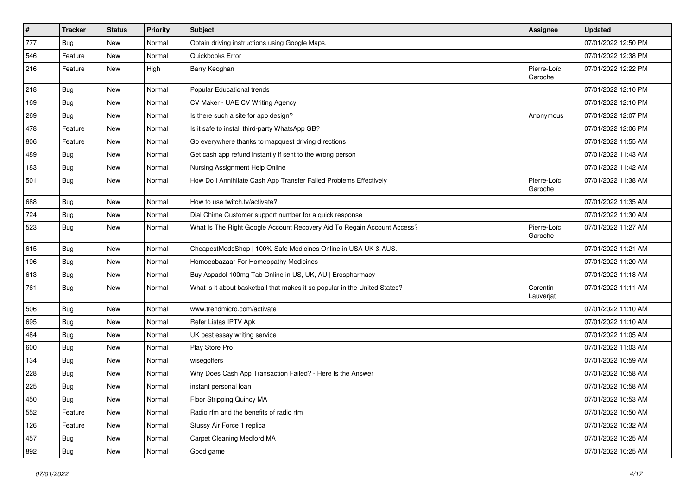| $\sharp$ | <b>Tracker</b> | <b>Status</b> | Priority | Subject                                                                    | <b>Assignee</b>        | <b>Updated</b>      |
|----------|----------------|---------------|----------|----------------------------------------------------------------------------|------------------------|---------------------|
| 777      | <b>Bug</b>     | New           | Normal   | Obtain driving instructions using Google Maps.                             |                        | 07/01/2022 12:50 PM |
| 546      | Feature        | <b>New</b>    | Normal   | Quickbooks Error                                                           |                        | 07/01/2022 12:38 PM |
| 216      | Feature        | New           | High     | Barry Keoghan                                                              | Pierre-Loïc<br>Garoche | 07/01/2022 12:22 PM |
| 218      | Bug            | <b>New</b>    | Normal   | Popular Educational trends                                                 |                        | 07/01/2022 12:10 PM |
| 169      | <b>Bug</b>     | New           | Normal   | CV Maker - UAE CV Writing Agency                                           |                        | 07/01/2022 12:10 PM |
| 269      | <b>Bug</b>     | New           | Normal   | Is there such a site for app design?                                       | Anonymous              | 07/01/2022 12:07 PM |
| 478      | Feature        | New           | Normal   | Is it safe to install third-party WhatsApp GB?                             |                        | 07/01/2022 12:06 PM |
| 806      | Feature        | New           | Normal   | Go everywhere thanks to mapquest driving directions                        |                        | 07/01/2022 11:55 AM |
| 489      | <b>Bug</b>     | New           | Normal   | Get cash app refund instantly if sent to the wrong person                  |                        | 07/01/2022 11:43 AM |
| 183      | <b>Bug</b>     | New           | Normal   | Nursing Assignment Help Online                                             |                        | 07/01/2022 11:42 AM |
| 501      | Bug            | New           | Normal   | How Do I Annihilate Cash App Transfer Failed Problems Effectively          | Pierre-Loïc<br>Garoche | 07/01/2022 11:38 AM |
| 688      | Bug            | New           | Normal   | How to use twitch.tv/activate?                                             |                        | 07/01/2022 11:35 AM |
| 724      | <b>Bug</b>     | <b>New</b>    | Normal   | Dial Chime Customer support number for a quick response                    |                        | 07/01/2022 11:30 AM |
| 523      | Bug            | New           | Normal   | What Is The Right Google Account Recovery Aid To Regain Account Access?    | Pierre-Loïc<br>Garoche | 07/01/2022 11:27 AM |
| 615      | Bug            | New           | Normal   | CheapestMedsShop   100% Safe Medicines Online in USA UK & AUS.             |                        | 07/01/2022 11:21 AM |
| 196      | <b>Bug</b>     | New           | Normal   | Homoeobazaar For Homeopathy Medicines                                      |                        | 07/01/2022 11:20 AM |
| 613      | Bug            | New           | Normal   | Buy Aspadol 100mg Tab Online in US, UK, AU   Erospharmacy                  |                        | 07/01/2022 11:18 AM |
| 761      | <b>Bug</b>     | New           | Normal   | What is it about basketball that makes it so popular in the United States? | Corentin<br>Lauverjat  | 07/01/2022 11:11 AM |
| 506      | Bug            | <b>New</b>    | Normal   | www.trendmicro.com/activate                                                |                        | 07/01/2022 11:10 AM |
| 695      | <b>Bug</b>     | New           | Normal   | Refer Listas IPTV Apk                                                      |                        | 07/01/2022 11:10 AM |
| 484      | <b>Bug</b>     | New           | Normal   | UK best essay writing service                                              |                        | 07/01/2022 11:05 AM |
| 600      | Bug            | <b>New</b>    | Normal   | Play Store Pro                                                             |                        | 07/01/2022 11:03 AM |
| 134      | Bug            | New           | Normal   | wisegolfers                                                                |                        | 07/01/2022 10:59 AM |
| 228      | Bug            | New           | Normal   | Why Does Cash App Transaction Failed? - Here Is the Answer                 |                        | 07/01/2022 10:58 AM |
| 225      | <b>Bug</b>     | New           | Normal   | instant personal loan                                                      |                        | 07/01/2022 10:58 AM |
| 450      | <b>Bug</b>     | New           | Normal   | Floor Stripping Quincy MA                                                  |                        | 07/01/2022 10:53 AM |
| 552      | Feature        | New           | Normal   | Radio rfm and the benefits of radio rfm                                    |                        | 07/01/2022 10:50 AM |
| 126      | Feature        | New           | Normal   | Stussy Air Force 1 replica                                                 |                        | 07/01/2022 10:32 AM |
| 457      | <b>Bug</b>     | New           | Normal   | Carpet Cleaning Medford MA                                                 |                        | 07/01/2022 10:25 AM |
| 892      | Bug            | New           | Normal   | Good game                                                                  |                        | 07/01/2022 10:25 AM |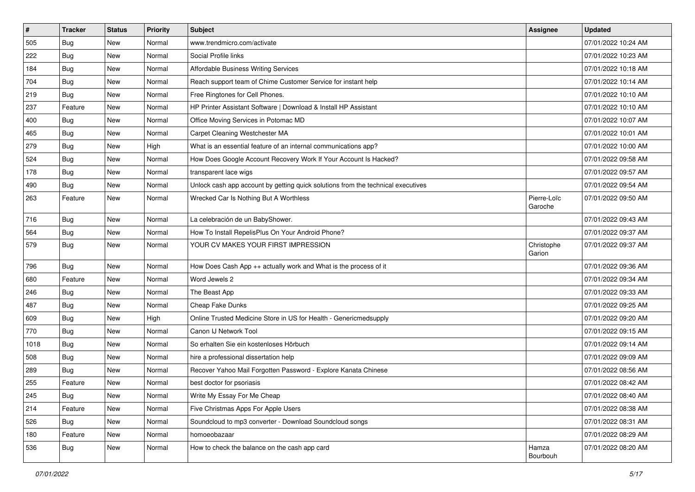| $\vert$ # | <b>Tracker</b> | <b>Status</b> | Priority | Subject                                                                          | <b>Assignee</b>        | <b>Updated</b>      |
|-----------|----------------|---------------|----------|----------------------------------------------------------------------------------|------------------------|---------------------|
| 505       | <b>Bug</b>     | New           | Normal   | www.trendmicro.com/activate                                                      |                        | 07/01/2022 10:24 AM |
| 222       | Bug            | <b>New</b>    | Normal   | Social Profile links                                                             |                        | 07/01/2022 10:23 AM |
| 184       | Bug            | New           | Normal   | Affordable Business Writing Services                                             |                        | 07/01/2022 10:18 AM |
| 704       | <b>Bug</b>     | New           | Normal   | Reach support team of Chime Customer Service for instant help                    |                        | 07/01/2022 10:14 AM |
| 219       | Bug            | New           | Normal   | Free Ringtones for Cell Phones.                                                  |                        | 07/01/2022 10:10 AM |
| 237       | Feature        | New           | Normal   | HP Printer Assistant Software   Download & Install HP Assistant                  |                        | 07/01/2022 10:10 AM |
| 400       | Bug            | New           | Normal   | Office Moving Services in Potomac MD                                             |                        | 07/01/2022 10:07 AM |
| 465       | Bug            | New           | Normal   | Carpet Cleaning Westchester MA                                                   |                        | 07/01/2022 10:01 AM |
| 279       | <b>Bug</b>     | New           | High     | What is an essential feature of an internal communications app?                  |                        | 07/01/2022 10:00 AM |
| 524       | <b>Bug</b>     | New           | Normal   | How Does Google Account Recovery Work If Your Account Is Hacked?                 |                        | 07/01/2022 09:58 AM |
| 178       | <b>Bug</b>     | New           | Normal   | transparent lace wigs                                                            |                        | 07/01/2022 09:57 AM |
| 490       | <b>Bug</b>     | New           | Normal   | Unlock cash app account by getting quick solutions from the technical executives |                        | 07/01/2022 09:54 AM |
| 263       | Feature        | <b>New</b>    | Normal   | Wrecked Car Is Nothing But A Worthless                                           | Pierre-Loïc<br>Garoche | 07/01/2022 09:50 AM |
| 716       | Bug            | <b>New</b>    | Normal   | La celebración de un BabyShower.                                                 |                        | 07/01/2022 09:43 AM |
| 564       | Bug            | New           | Normal   | How To Install RepelisPlus On Your Android Phone?                                |                        | 07/01/2022 09:37 AM |
| 579       | <b>Bug</b>     | New           | Normal   | YOUR CV MAKES YOUR FIRST IMPRESSION                                              | Christophe<br>Garion   | 07/01/2022 09:37 AM |
| 796       | Bug            | New           | Normal   | How Does Cash App ++ actually work and What is the process of it                 |                        | 07/01/2022 09:36 AM |
| 680       | Feature        | New           | Normal   | Word Jewels 2                                                                    |                        | 07/01/2022 09:34 AM |
| 246       | Bug            | New           | Normal   | The Beast App                                                                    |                        | 07/01/2022 09:33 AM |
| 487       | Bug            | New           | Normal   | Cheap Fake Dunks                                                                 |                        | 07/01/2022 09:25 AM |
| 609       | Bug            | New           | High     | Online Trusted Medicine Store in US for Health - Genericmedsupply                |                        | 07/01/2022 09:20 AM |
| 770       | Bug            | New           | Normal   | Canon IJ Network Tool                                                            |                        | 07/01/2022 09:15 AM |
| 1018      | <b>Bug</b>     | New           | Normal   | So erhalten Sie ein kostenloses Hörbuch                                          |                        | 07/01/2022 09:14 AM |
| 508       | Bug            | New           | Normal   | hire a professional dissertation help                                            |                        | 07/01/2022 09:09 AM |
| 289       | <b>Bug</b>     | New           | Normal   | Recover Yahoo Mail Forgotten Password - Explore Kanata Chinese                   |                        | 07/01/2022 08:56 AM |
| 255       | Feature        | New           | Normal   | best doctor for psoriasis                                                        |                        | 07/01/2022 08:42 AM |
| 245       | Bug            | New           | Normal   | Write My Essay For Me Cheap                                                      |                        | 07/01/2022 08:40 AM |
| 214       | Feature        | New           | Normal   | Five Christmas Apps For Apple Users                                              |                        | 07/01/2022 08:38 AM |
| 526       | Bug            | New           | Normal   | Soundcloud to mp3 converter - Download Soundcloud songs                          |                        | 07/01/2022 08:31 AM |
| 180       | Feature        | New           | Normal   | homoeobazaar                                                                     |                        | 07/01/2022 08:29 AM |
| 536       | Bug            | New           | Normal   | How to check the balance on the cash app card                                    | Hamza<br>Bourbouh      | 07/01/2022 08:20 AM |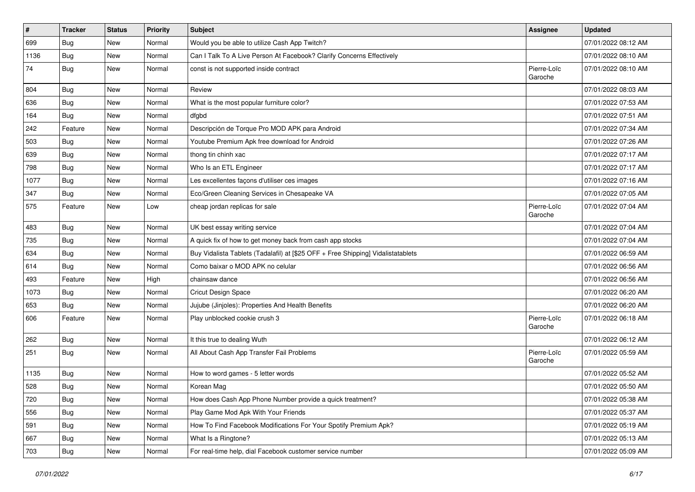| $\vert$ # | <b>Tracker</b> | <b>Status</b> | <b>Priority</b> | <b>Subject</b>                                                                   | Assignee               | <b>Updated</b>      |
|-----------|----------------|---------------|-----------------|----------------------------------------------------------------------------------|------------------------|---------------------|
| 699       | <b>Bug</b>     | New           | Normal          | Would you be able to utilize Cash App Twitch?                                    |                        | 07/01/2022 08:12 AM |
| 1136      | Bug            | <b>New</b>    | Normal          | Can I Talk To A Live Person At Facebook? Clarify Concerns Effectively            |                        | 07/01/2022 08:10 AM |
| 74        | Bug            | <b>New</b>    | Normal          | const is not supported inside contract                                           | Pierre-Loïc<br>Garoche | 07/01/2022 08:10 AM |
| 804       | Bug            | New           | Normal          | Review                                                                           |                        | 07/01/2022 08:03 AM |
| 636       | Bug            | <b>New</b>    | Normal          | What is the most popular furniture color?                                        |                        | 07/01/2022 07:53 AM |
| 164       | Bug            | <b>New</b>    | Normal          | dfgbd                                                                            |                        | 07/01/2022 07:51 AM |
| 242       | Feature        | <b>New</b>    | Normal          | Descripción de Torque Pro MOD APK para Android                                   |                        | 07/01/2022 07:34 AM |
| 503       | Bug            | New           | Normal          | Youtube Premium Apk free download for Android                                    |                        | 07/01/2022 07:26 AM |
| 639       | Bug            | <b>New</b>    | Normal          | thong tin chinh xac                                                              |                        | 07/01/2022 07:17 AM |
| 798       | Bug            | New           | Normal          | Who Is an ETL Engineer                                                           |                        | 07/01/2022 07:17 AM |
| 1077      | <b>Bug</b>     | New           | Normal          | Les excellentes façons d'utiliser ces images                                     |                        | 07/01/2022 07:16 AM |
| 347       | Bug            | <b>New</b>    | Normal          | Eco/Green Cleaning Services in Chesapeake VA                                     |                        | 07/01/2022 07:05 AM |
| 575       | Feature        | New           | Low             | cheap jordan replicas for sale                                                   | Pierre-Loïc<br>Garoche | 07/01/2022 07:04 AM |
| 483       | Bug            | New           | Normal          | UK best essay writing service                                                    |                        | 07/01/2022 07:04 AM |
| 735       | Bug            | <b>New</b>    | Normal          | A quick fix of how to get money back from cash app stocks                        |                        | 07/01/2022 07:04 AM |
| 634       | Bug            | New           | Normal          | Buy Vidalista Tablets (Tadalafil) at [\$25 OFF + Free Shipping] Vidalistatablets |                        | 07/01/2022 06:59 AM |
| 614       | Bug            | New           | Normal          | Como baixar o MOD APK no celular                                                 |                        | 07/01/2022 06:56 AM |
| 493       | Feature        | New           | High            | chainsaw dance                                                                   |                        | 07/01/2022 06:56 AM |
| 1073      | Bug            | <b>New</b>    | Normal          | <b>Cricut Design Space</b>                                                       |                        | 07/01/2022 06:20 AM |
| 653       | Bug            | <b>New</b>    | Normal          | Jujube (Jinjoles): Properties And Health Benefits                                |                        | 07/01/2022 06:20 AM |
| 606       | Feature        | New           | Normal          | Play unblocked cookie crush 3                                                    | Pierre-Loïc<br>Garoche | 07/01/2022 06:18 AM |
| 262       | Bug            | New           | Normal          | It this true to dealing Wuth                                                     |                        | 07/01/2022 06:12 AM |
| 251       | Bug            | New           | Normal          | All About Cash App Transfer Fail Problems                                        | Pierre-Loïc<br>Garoche | 07/01/2022 05:59 AM |
| 1135      | <b>Bug</b>     | New           | Normal          | How to word games - 5 letter words                                               |                        | 07/01/2022 05:52 AM |
| 528       | Bug            | New           | Normal          | Korean Mag                                                                       |                        | 07/01/2022 05:50 AM |
| 720       | Bug            | New           | Normal          | How does Cash App Phone Number provide a quick treatment?                        |                        | 07/01/2022 05:38 AM |
| 556       | Bug            | New           | Normal          | Play Game Mod Apk With Your Friends                                              |                        | 07/01/2022 05:37 AM |
| 591       | Bug            | New           | Normal          | How To Find Facebook Modifications For Your Spotify Premium Apk?                 |                        | 07/01/2022 05:19 AM |
| 667       | <b>Bug</b>     | New           | Normal          | What Is a Ringtone?                                                              |                        | 07/01/2022 05:13 AM |
| 703       | <b>Bug</b>     | New           | Normal          | For real-time help, dial Facebook customer service number                        |                        | 07/01/2022 05:09 AM |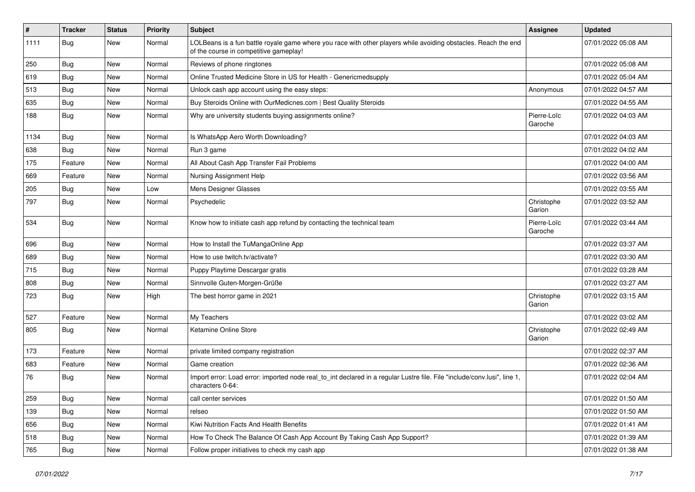| #    | <b>Tracker</b> | <b>Status</b> | <b>Priority</b> | Subject                                                                                                                                                  | <b>Assignee</b>        | <b>Updated</b>      |
|------|----------------|---------------|-----------------|----------------------------------------------------------------------------------------------------------------------------------------------------------|------------------------|---------------------|
| 1111 | Bug            | New           | Normal          | LOLBeans is a fun battle royale game where you race with other players while avoiding obstacles. Reach the end<br>of the course in competitive gameplay! |                        | 07/01/2022 05:08 AM |
| 250  | Bug            | New           | Normal          | Reviews of phone ringtones                                                                                                                               |                        | 07/01/2022 05:08 AM |
| 619  | Bug            | New           | Normal          | Online Trusted Medicine Store in US for Health - Genericmedsupply                                                                                        |                        | 07/01/2022 05:04 AM |
| 513  | <b>Bug</b>     | New           | Normal          | Unlock cash app account using the easy steps:                                                                                                            | Anonymous              | 07/01/2022 04:57 AM |
| 635  | Bug            | New           | Normal          | Buy Steroids Online with OurMedicnes.com   Best Quality Steroids                                                                                         |                        | 07/01/2022 04:55 AM |
| 188  | Bug            | New           | Normal          | Why are university students buying assignments online?                                                                                                   | Pierre-Loïc<br>Garoche | 07/01/2022 04:03 AM |
| 1134 | Bug            | New           | Normal          | Is WhatsApp Aero Worth Downloading?                                                                                                                      |                        | 07/01/2022 04:03 AM |
| 638  | Bug            | New           | Normal          | Run 3 game                                                                                                                                               |                        | 07/01/2022 04:02 AM |
| 175  | Feature        | <b>New</b>    | Normal          | All About Cash App Transfer Fail Problems                                                                                                                |                        | 07/01/2022 04:00 AM |
| 669  | Feature        | New           | Normal          | Nursing Assignment Help                                                                                                                                  |                        | 07/01/2022 03:56 AM |
| 205  | Bug            | New           | Low             | Mens Designer Glasses                                                                                                                                    |                        | 07/01/2022 03:55 AM |
| 797  | Bug            | New           | Normal          | Psychedelic                                                                                                                                              | Christophe<br>Garion   | 07/01/2022 03:52 AM |
| 534  | Bug            | <b>New</b>    | Normal          | Know how to initiate cash app refund by contacting the technical team                                                                                    | Pierre-Loïc<br>Garoche | 07/01/2022 03:44 AM |
| 696  | Bug            | <b>New</b>    | Normal          | How to Install the TuMangaOnline App                                                                                                                     |                        | 07/01/2022 03:37 AM |
| 689  | Bug            | New           | Normal          | How to use twitch.tv/activate?                                                                                                                           |                        | 07/01/2022 03:30 AM |
| 715  | Bug            | New           | Normal          | Puppy Playtime Descargar gratis                                                                                                                          |                        | 07/01/2022 03:28 AM |
| 808  | Bug            | New           | Normal          | Sinnvolle Guten-Morgen-Grüße                                                                                                                             |                        | 07/01/2022 03:27 AM |
| 723  | Bug            | New           | High            | The best horror game in 2021                                                                                                                             | Christophe<br>Garion   | 07/01/2022 03:15 AM |
| 527  | Feature        | New           | Normal          | My Teachers                                                                                                                                              |                        | 07/01/2022 03:02 AM |
| 805  | Bug            | New           | Normal          | Ketamine Online Store                                                                                                                                    | Christophe<br>Garion   | 07/01/2022 02:49 AM |
| 173  | Feature        | <b>New</b>    | Normal          | private limited company registration                                                                                                                     |                        | 07/01/2022 02:37 AM |
| 683  | Feature        | New           | Normal          | Game creation                                                                                                                                            |                        | 07/01/2022 02:36 AM |
| 76   | <b>Bug</b>     | New           | Normal          | Import error: Load error: imported node real_to_int declared in a regular Lustre file. File "include/conv.lusi", line 1,<br>characters 0-64:             |                        | 07/01/2022 02:04 AM |
| 259  | Bug            | New           | Normal          | call center services                                                                                                                                     |                        | 07/01/2022 01:50 AM |
| 139  | Bug            | New           | Normal          | relseo                                                                                                                                                   |                        | 07/01/2022 01:50 AM |
| 656  | Bug            | New           | Normal          | Kiwi Nutrition Facts And Health Benefits                                                                                                                 |                        | 07/01/2022 01:41 AM |
| 518  | Bug            | New           | Normal          | How To Check The Balance Of Cash App Account By Taking Cash App Support?                                                                                 |                        | 07/01/2022 01:39 AM |
| 765  | <b>Bug</b>     | New           | Normal          | Follow proper initiatives to check my cash app                                                                                                           |                        | 07/01/2022 01:38 AM |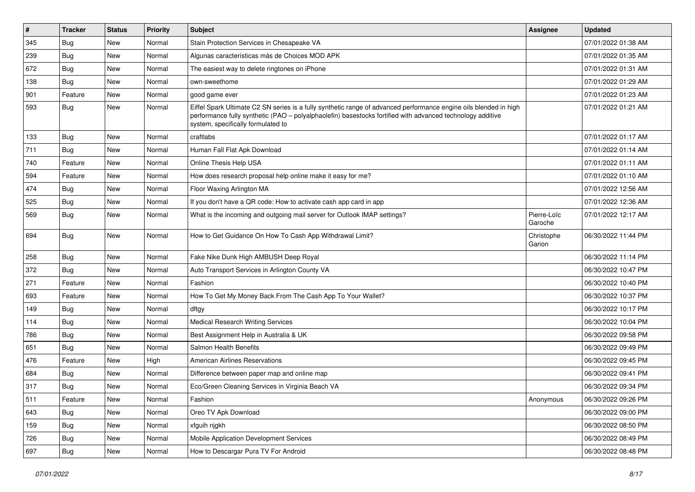| $\vert$ # | Tracker    | <b>Status</b> | <b>Priority</b> | <b>Subject</b>                                                                                                                                                                                                                                                        | Assignee               | <b>Updated</b>      |
|-----------|------------|---------------|-----------------|-----------------------------------------------------------------------------------------------------------------------------------------------------------------------------------------------------------------------------------------------------------------------|------------------------|---------------------|
| 345       | <b>Bug</b> | New           | Normal          | Stain Protection Services in Chesapeake VA                                                                                                                                                                                                                            |                        | 07/01/2022 01:38 AM |
| 239       | <b>Bug</b> | <b>New</b>    | Normal          | Algunas características más de Choices MOD APK                                                                                                                                                                                                                        |                        | 07/01/2022 01:35 AM |
| 672       | <b>Bug</b> | New           | Normal          | The easiest way to delete ringtones on iPhone                                                                                                                                                                                                                         |                        | 07/01/2022 01:31 AM |
| 138       | Bug        | New           | Normal          | own-sweethome                                                                                                                                                                                                                                                         |                        | 07/01/2022 01:29 AM |
| 901       | Feature    | <b>New</b>    | Normal          | good game ever                                                                                                                                                                                                                                                        |                        | 07/01/2022 01:23 AM |
| 593       | Bug        | New           | Normal          | Eiffel Spark Ultimate C2 SN series is a fully synthetic range of advanced performance engine oils blended in high<br>performance fully synthetic (PAO - polyalphaolefin) basestocks fortified with advanced technology additive<br>system, specifically formulated to |                        | 07/01/2022 01:21 AM |
| 133       | Bug        | <b>New</b>    | Normal          | craftlabs                                                                                                                                                                                                                                                             |                        | 07/01/2022 01:17 AM |
| 711       | Bug        | New           | Normal          | Human Fall Flat Apk Download                                                                                                                                                                                                                                          |                        | 07/01/2022 01:14 AM |
| 740       | Feature    | New           | Normal          | Online Thesis Help USA                                                                                                                                                                                                                                                |                        | 07/01/2022 01:11 AM |
| 594       | Feature    | New           | Normal          | How does research proposal help online make it easy for me?                                                                                                                                                                                                           |                        | 07/01/2022 01:10 AM |
| 474       | Bug        | New           | Normal          | Floor Waxing Arlington MA                                                                                                                                                                                                                                             |                        | 07/01/2022 12:56 AM |
| 525       | Bug        | New           | Normal          | If you don't have a QR code: How to activate cash app card in app                                                                                                                                                                                                     |                        | 07/01/2022 12:36 AM |
| 569       | Bug        | New           | Normal          | What is the incoming and outgoing mail server for Outlook IMAP settings?                                                                                                                                                                                              | Pierre-Loïc<br>Garoche | 07/01/2022 12:17 AM |
| 694       | Bug        | New           | Normal          | How to Get Guidance On How To Cash App Withdrawal Limit?                                                                                                                                                                                                              | Christophe<br>Garion   | 06/30/2022 11:44 PM |
| 258       | Bug        | New           | Normal          | Fake Nike Dunk High AMBUSH Deep Royal                                                                                                                                                                                                                                 |                        | 06/30/2022 11:14 PM |
| 372       | Bug        | New           | Normal          | Auto Transport Services in Arlington County VA                                                                                                                                                                                                                        |                        | 06/30/2022 10:47 PM |
| 271       | Feature    | <b>New</b>    | Normal          | Fashion                                                                                                                                                                                                                                                               |                        | 06/30/2022 10:40 PM |
| 693       | Feature    | New           | Normal          | How To Get My Money Back From The Cash App To Your Wallet?                                                                                                                                                                                                            |                        | 06/30/2022 10:37 PM |
| 149       | <b>Bug</b> | New           | Normal          | dftgy                                                                                                                                                                                                                                                                 |                        | 06/30/2022 10:17 PM |
| 114       | Bug        | New           | Normal          | <b>Medical Research Writing Services</b>                                                                                                                                                                                                                              |                        | 06/30/2022 10:04 PM |
| 786       | <b>Bug</b> | New           | Normal          | Best Assignment Help in Australia & UK                                                                                                                                                                                                                                |                        | 06/30/2022 09:58 PM |
| 651       | <b>Bug</b> | <b>New</b>    | Normal          | Salmon Health Benefits                                                                                                                                                                                                                                                |                        | 06/30/2022 09:49 PM |
| 476       | Feature    | New           | High            | <b>American Airlines Reservations</b>                                                                                                                                                                                                                                 |                        | 06/30/2022 09:45 PM |
| 684       | <b>Bug</b> | New           | Normal          | Difference between paper map and online map                                                                                                                                                                                                                           |                        | 06/30/2022 09:41 PM |
| 317       | Bug        | New           | Normal          | Eco/Green Cleaning Services in Virginia Beach VA                                                                                                                                                                                                                      |                        | 06/30/2022 09:34 PM |
| 511       | Feature    | New           | Normal          | Fashion                                                                                                                                                                                                                                                               | Anonymous              | 06/30/2022 09:26 PM |
| 643       | Bug        | New           | Normal          | Oreo TV Apk Download                                                                                                                                                                                                                                                  |                        | 06/30/2022 09:00 PM |
| 159       | <b>Bug</b> | New           | Normal          | xfguih njgkh                                                                                                                                                                                                                                                          |                        | 06/30/2022 08:50 PM |
| 726       | Bug        | New           | Normal          | Mobile Application Development Services                                                                                                                                                                                                                               |                        | 06/30/2022 08:49 PM |
| 697       | Bug        | New           | Normal          | How to Descargar Pura TV For Android                                                                                                                                                                                                                                  |                        | 06/30/2022 08:48 PM |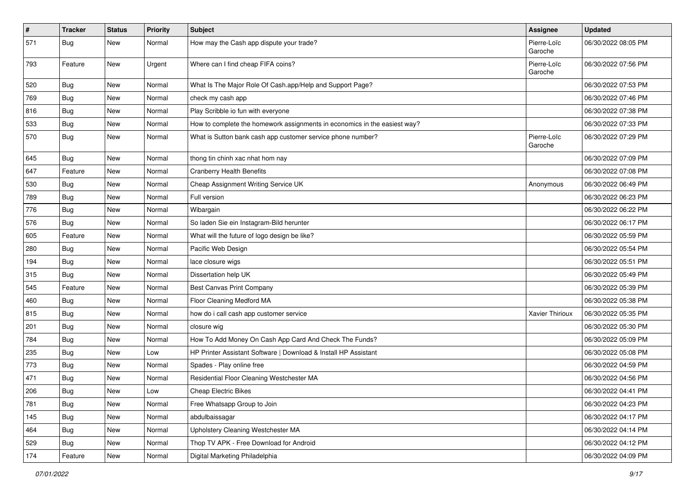| $\vert$ # | Tracker    | <b>Status</b> | <b>Priority</b> | <b>Subject</b>                                                            | <b>Assignee</b>        | <b>Updated</b>      |
|-----------|------------|---------------|-----------------|---------------------------------------------------------------------------|------------------------|---------------------|
| 571       | <b>Bug</b> | New           | Normal          | How may the Cash app dispute your trade?                                  | Pierre-Loïc<br>Garoche | 06/30/2022 08:05 PM |
| 793       | Feature    | New           | Urgent          | Where can I find cheap FIFA coins?                                        | Pierre-Loïc<br>Garoche | 06/30/2022 07:56 PM |
| 520       | Bug        | New           | Normal          | What Is The Major Role Of Cash.app/Help and Support Page?                 |                        | 06/30/2022 07:53 PM |
| 769       | <b>Bug</b> | New           | Normal          | check my cash app                                                         |                        | 06/30/2022 07:46 PM |
| 816       | <b>Bug</b> | New           | Normal          | Play Scribble io fun with everyone                                        |                        | 06/30/2022 07:38 PM |
| 533       | <b>Bug</b> | New           | Normal          | How to complete the homework assignments in economics in the easiest way? |                        | 06/30/2022 07:33 PM |
| 570       | <b>Bug</b> | New           | Normal          | What is Sutton bank cash app customer service phone number?               | Pierre-Loïc<br>Garoche | 06/30/2022 07:29 PM |
| 645       | Bug        | New           | Normal          | thong tin chinh xac nhat hom nay                                          |                        | 06/30/2022 07:09 PM |
| 647       | Feature    | New           | Normal          | <b>Cranberry Health Benefits</b>                                          |                        | 06/30/2022 07:08 PM |
| 530       | Bug        | New           | Normal          | Cheap Assignment Writing Service UK                                       | Anonymous              | 06/30/2022 06:49 PM |
| 789       | Bug        | New           | Normal          | Full version                                                              |                        | 06/30/2022 06:23 PM |
| 776       | <b>Bug</b> | New           | Normal          | Wibargain                                                                 |                        | 06/30/2022 06:22 PM |
| 576       | <b>Bug</b> | New           | Normal          | So laden Sie ein Instagram-Bild herunter                                  |                        | 06/30/2022 06:17 PM |
| 605       | Feature    | New           | Normal          | What will the future of logo design be like?                              |                        | 06/30/2022 05:59 PM |
| 280       | Bug        | New           | Normal          | Pacific Web Design                                                        |                        | 06/30/2022 05:54 PM |
| 194       | <b>Bug</b> | New           | Normal          | lace closure wigs                                                         |                        | 06/30/2022 05:51 PM |
| 315       | <b>Bug</b> | New           | Normal          | Dissertation help UK                                                      |                        | 06/30/2022 05:49 PM |
| 545       | Feature    | New           | Normal          | <b>Best Canvas Print Company</b>                                          |                        | 06/30/2022 05:39 PM |
| 460       | <b>Bug</b> | New           | Normal          | Floor Cleaning Medford MA                                                 |                        | 06/30/2022 05:38 PM |
| 815       | Bug        | New           | Normal          | how do i call cash app customer service                                   | Xavier Thirioux        | 06/30/2022 05:35 PM |
| 201       | <b>Bug</b> | New           | Normal          | closure wig                                                               |                        | 06/30/2022 05:30 PM |
| 784       | <b>Bug</b> | New           | Normal          | How To Add Money On Cash App Card And Check The Funds?                    |                        | 06/30/2022 05:09 PM |
| 235       | Bug        | New           | Low             | HP Printer Assistant Software   Download & Install HP Assistant           |                        | 06/30/2022 05:08 PM |
| 773       | <b>Bug</b> | New           | Normal          | Spades - Play online free                                                 |                        | 06/30/2022 04:59 PM |
| 471       | <b>Bug</b> | New           | Normal          | Residential Floor Cleaning Westchester MA                                 |                        | 06/30/2022 04:56 PM |
| 206       | Bug        | New           | LOW             | Cheap Electric Bikes                                                      |                        | 06/30/2022 04:41 PM |
| 781       | Bug        | New           | Normal          | Free Whatsapp Group to Join                                               |                        | 06/30/2022 04:23 PM |
| 145       | Bug        | New           | Normal          | abdulbaissagar                                                            |                        | 06/30/2022 04:17 PM |
| 464       | <b>Bug</b> | New           | Normal          | Upholstery Cleaning Westchester MA                                        |                        | 06/30/2022 04:14 PM |
| 529       | Bug        | New           | Normal          | Thop TV APK - Free Download for Android                                   |                        | 06/30/2022 04:12 PM |
| 174       | Feature    | New           | Normal          | Digital Marketing Philadelphia                                            |                        | 06/30/2022 04:09 PM |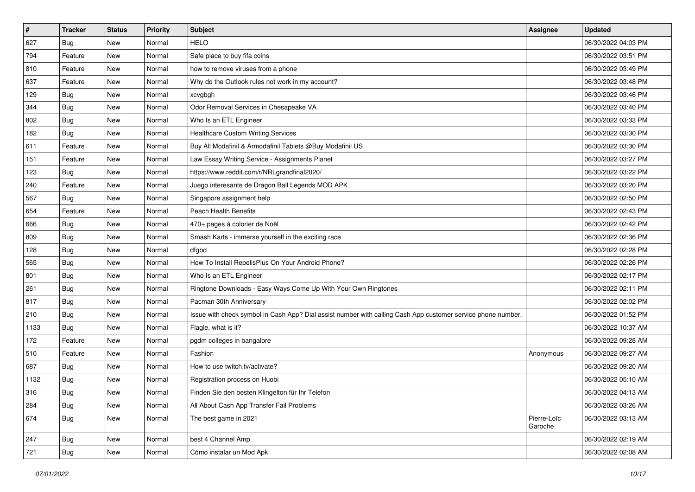| $\sharp$ | <b>Tracker</b> | <b>Status</b> | <b>Priority</b> | Subject                                                                                                      | <b>Assignee</b>        | <b>Updated</b>      |
|----------|----------------|---------------|-----------------|--------------------------------------------------------------------------------------------------------------|------------------------|---------------------|
| 627      | Bug            | New           | Normal          | <b>HELO</b>                                                                                                  |                        | 06/30/2022 04:03 PM |
| 794      | Feature        | New           | Normal          | Safe place to buy fifa coins                                                                                 |                        | 06/30/2022 03:51 PM |
| 810      | Feature        | New           | Normal          | how to remove viruses from a phone                                                                           |                        | 06/30/2022 03:49 PM |
| 637      | Feature        | New           | Normal          | Why do the Outlook rules not work in my account?                                                             |                        | 06/30/2022 03:48 PM |
| 129      | <b>Bug</b>     | New           | Normal          | xcvgbgh                                                                                                      |                        | 06/30/2022 03:46 PM |
| 344      | Bug            | New           | Normal          | Odor Removal Services in Chesapeake VA                                                                       |                        | 06/30/2022 03:40 PM |
| 802      | Bug            | New           | Normal          | Who Is an ETL Engineer                                                                                       |                        | 06/30/2022 03:33 PM |
| 182      | <b>Bug</b>     | New           | Normal          | <b>Healthcare Custom Writing Services</b>                                                                    |                        | 06/30/2022 03:30 PM |
| 611      | Feature        | New           | Normal          | Buy All Modafinil & Armodafinil Tablets @Buy Modafinil US                                                    |                        | 06/30/2022 03:30 PM |
| 151      | Feature        | New           | Normal          | Law Essay Writing Service - Assignments Planet                                                               |                        | 06/30/2022 03:27 PM |
| 123      | <b>Bug</b>     | New           | Normal          | https://www.reddit.com/r/NRLgrandfinal2020/                                                                  |                        | 06/30/2022 03:22 PM |
| 240      | Feature        | New           | Normal          | Juego interesante de Dragon Ball Legends MOD APK                                                             |                        | 06/30/2022 03:20 PM |
| 567      | Bug            | New           | Normal          | Singapore assignment help                                                                                    |                        | 06/30/2022 02:50 PM |
| 654      | Feature        | New           | Normal          | <b>Peach Health Benefits</b>                                                                                 |                        | 06/30/2022 02:43 PM |
| 666      | Bug            | New           | Normal          | 470+ pages à colorier de Noël                                                                                |                        | 06/30/2022 02:42 PM |
| 809      | Bug            | New           | Normal          | Smash Karts - immerse yourself in the exciting race                                                          |                        | 06/30/2022 02:36 PM |
| 128      | Bug            | New           | Normal          | dfgbd                                                                                                        |                        | 06/30/2022 02:28 PM |
| 565      | <b>Bug</b>     | New           | Normal          | How To Install RepelisPlus On Your Android Phone?                                                            |                        | 06/30/2022 02:26 PM |
| 801      | Bug            | New           | Normal          | Who Is an ETL Engineer                                                                                       |                        | 06/30/2022 02:17 PM |
| 261      | <b>Bug</b>     | New           | Normal          | Ringtone Downloads - Easy Ways Come Up With Your Own Ringtones                                               |                        | 06/30/2022 02:11 PM |
| 817      | <b>Bug</b>     | New           | Normal          | Pacman 30th Anniversary                                                                                      |                        | 06/30/2022 02:02 PM |
| 210      | <b>Bug</b>     | New           | Normal          | Issue with check symbol in Cash App? Dial assist number with calling Cash App customer service phone number. |                        | 06/30/2022 01:52 PM |
| 1133     | Bug            | New           | Normal          | Flagle, what is it?                                                                                          |                        | 06/30/2022 10:37 AM |
| 172      | Feature        | New           | Normal          | pgdm colleges in bangalore                                                                                   |                        | 06/30/2022 09:28 AM |
| 510      | Feature        | New           | Normal          | Fashion                                                                                                      | Anonymous              | 06/30/2022 09:27 AM |
| 687      | Bug            | New           | Normal          | How to use twitch.tv/activate?                                                                               |                        | 06/30/2022 09:20 AM |
| 1132     | <b>Bug</b>     | New           | Normal          | Registration process on Huobi                                                                                |                        | 06/30/2022 05:10 AM |
| 316      | <b>Bug</b>     | New           | Normal          | Finden Sie den besten Klingelton für Ihr Telefon                                                             |                        | 06/30/2022 04:13 AM |
| 284      | Bug            | New           | Normal          | All About Cash App Transfer Fail Problems                                                                    |                        | 06/30/2022 03:26 AM |
| 674      | <b>Bug</b>     | New           | Normal          | The best game in 2021                                                                                        | Pierre-Loïc<br>Garoche | 06/30/2022 03:13 AM |
| 247      | Bug            | New           | Normal          | best 4 Channel Amp                                                                                           |                        | 06/30/2022 02:19 AM |
| 721      | <b>Bug</b>     | New           | Normal          | Cómo instalar un Mod Apk                                                                                     |                        | 06/30/2022 02:08 AM |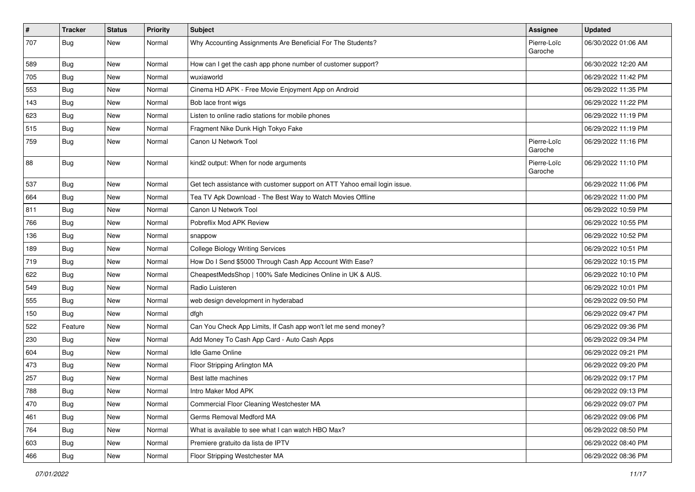| $\vert$ # | <b>Tracker</b> | <b>Status</b> | <b>Priority</b> | Subject                                                                   | <b>Assignee</b>        | <b>Updated</b>      |
|-----------|----------------|---------------|-----------------|---------------------------------------------------------------------------|------------------------|---------------------|
| 707       | Bug            | New           | Normal          | Why Accounting Assignments Are Beneficial For The Students?               | Pierre-Loïc<br>Garoche | 06/30/2022 01:06 AM |
| 589       | <b>Bug</b>     | New           | Normal          | How can I get the cash app phone number of customer support?              |                        | 06/30/2022 12:20 AM |
| 705       | <b>Bug</b>     | New           | Normal          | wuxiaworld                                                                |                        | 06/29/2022 11:42 PM |
| 553       | Bug            | New           | Normal          | Cinema HD APK - Free Movie Enjoyment App on Android                       |                        | 06/29/2022 11:35 PM |
| 143       | <b>Bug</b>     | New           | Normal          | Bob lace front wigs                                                       |                        | 06/29/2022 11:22 PM |
| 623       | <b>Bug</b>     | New           | Normal          | Listen to online radio stations for mobile phones                         |                        | 06/29/2022 11:19 PM |
| 515       | Bug            | New           | Normal          | Fragment Nike Dunk High Tokyo Fake                                        |                        | 06/29/2022 11:19 PM |
| 759       | <b>Bug</b>     | New           | Normal          | Canon IJ Network Tool                                                     | Pierre-Loïc<br>Garoche | 06/29/2022 11:16 PM |
| 88        | Bug            | New           | Normal          | kind2 output: When for node arguments                                     | Pierre-Loïc<br>Garoche | 06/29/2022 11:10 PM |
| 537       | Bug            | New           | Normal          | Get tech assistance with customer support on ATT Yahoo email login issue. |                        | 06/29/2022 11:06 PM |
| 664       | <b>Bug</b>     | New           | Normal          | Tea TV Apk Download - The Best Way to Watch Movies Offline                |                        | 06/29/2022 11:00 PM |
| 811       | Bug            | New           | Normal          | Canon IJ Network Tool                                                     |                        | 06/29/2022 10:59 PM |
| 766       | Bug            | New           | Normal          | Pobreflix Mod APK Review                                                  |                        | 06/29/2022 10:55 PM |
| 136       | <b>Bug</b>     | New           | Normal          | snappow                                                                   |                        | 06/29/2022 10:52 PM |
| 189       | Bug            | New           | Normal          | <b>College Biology Writing Services</b>                                   |                        | 06/29/2022 10:51 PM |
| 719       | <b>Bug</b>     | New           | Normal          | How Do I Send \$5000 Through Cash App Account With Ease?                  |                        | 06/29/2022 10:15 PM |
| 622       | Bug            | New           | Normal          | CheapestMedsShop   100% Safe Medicines Online in UK & AUS.                |                        | 06/29/2022 10:10 PM |
| 549       | Bug            | New           | Normal          | Radio Luisteren                                                           |                        | 06/29/2022 10:01 PM |
| 555       | Bug            | New           | Normal          | web design development in hyderabad                                       |                        | 06/29/2022 09:50 PM |
| 150       | <b>Bug</b>     | New           | Normal          | dfgh                                                                      |                        | 06/29/2022 09:47 PM |
| 522       | Feature        | New           | Normal          | Can You Check App Limits, If Cash app won't let me send money?            |                        | 06/29/2022 09:36 PM |
| 230       | <b>Bug</b>     | New           | Normal          | Add Money To Cash App Card - Auto Cash Apps                               |                        | 06/29/2022 09:34 PM |
| 604       | Bug            | New           | Normal          | Idle Game Online                                                          |                        | 06/29/2022 09:21 PM |
| 473       | Bug            | New           | Normal          | Floor Stripping Arlington MA                                              |                        | 06/29/2022 09:20 PM |
| 257       | <b>Bug</b>     | New           | Normal          | Best latte machines                                                       |                        | 06/29/2022 09:17 PM |
| 788       | Bug            | New           | Normal          | Intro Maker Mod APK                                                       |                        | 06/29/2022 09:13 PM |
| 470       | Bug            | New           | Normal          | Commercial Floor Cleaning Westchester MA                                  |                        | 06/29/2022 09:07 PM |
| 461       | Bug            | New           | Normal          | Germs Removal Medford MA                                                  |                        | 06/29/2022 09:06 PM |
| 764       | <b>Bug</b>     | New           | Normal          | What is available to see what I can watch HBO Max?                        |                        | 06/29/2022 08:50 PM |
| 603       | Bug            | New           | Normal          | Premiere gratuito da lista de IPTV                                        |                        | 06/29/2022 08:40 PM |
| 466       | Bug            | New           | Normal          | Floor Stripping Westchester MA                                            |                        | 06/29/2022 08:36 PM |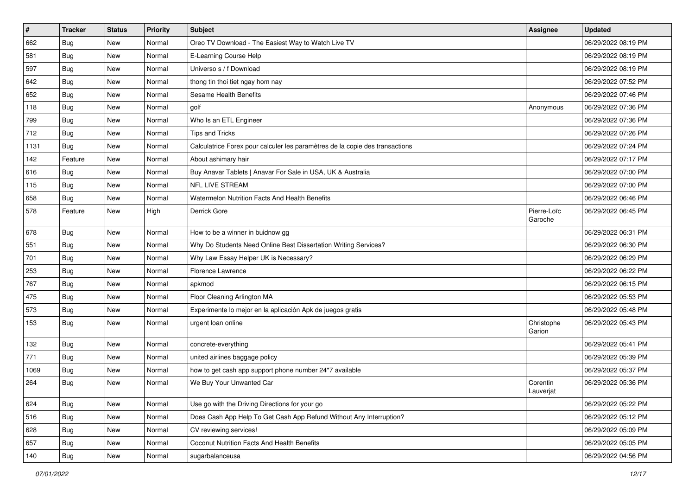| $\pmb{\#}$ | <b>Tracker</b> | <b>Status</b> | Priority | <b>Subject</b>                                                               | <b>Assignee</b>        | <b>Updated</b>      |
|------------|----------------|---------------|----------|------------------------------------------------------------------------------|------------------------|---------------------|
| 662        | <b>Bug</b>     | New           | Normal   | Oreo TV Download - The Easiest Way to Watch Live TV                          |                        | 06/29/2022 08:19 PM |
| 581        | <b>Bug</b>     | New           | Normal   | E-Learning Course Help                                                       |                        | 06/29/2022 08:19 PM |
| 597        | <b>Bug</b>     | New           | Normal   | Universo s / f Download                                                      |                        | 06/29/2022 08:19 PM |
| 642        | Bug            | New           | Normal   | thong tin thoi tiet ngay hom nay                                             |                        | 06/29/2022 07:52 PM |
| 652        | Bug            | New           | Normal   | Sesame Health Benefits                                                       |                        | 06/29/2022 07:46 PM |
| 118        | Bug            | New           | Normal   | golf                                                                         | Anonymous              | 06/29/2022 07:36 PM |
| 799        | Bug            | New           | Normal   | Who Is an ETL Engineer                                                       |                        | 06/29/2022 07:36 PM |
| 712        | Bug            | New           | Normal   | Tips and Tricks                                                              |                        | 06/29/2022 07:26 PM |
| 1131       | Bug            | New           | Normal   | Calculatrice Forex pour calculer les paramètres de la copie des transactions |                        | 06/29/2022 07:24 PM |
| 142        | Feature        | New           | Normal   | About ashimary hair                                                          |                        | 06/29/2022 07:17 PM |
| 616        | <b>Bug</b>     | New           | Normal   | Buy Anavar Tablets   Anavar For Sale in USA, UK & Australia                  |                        | 06/29/2022 07:00 PM |
| 115        | Bug            | New           | Normal   | NFL LIVE STREAM                                                              |                        | 06/29/2022 07:00 PM |
| 658        | Bug            | New           | Normal   | Watermelon Nutrition Facts And Health Benefits                               |                        | 06/29/2022 06:46 PM |
| 578        | Feature        | New           | High     | Derrick Gore                                                                 | Pierre-Loïc<br>Garoche | 06/29/2022 06:45 PM |
| 678        | Bug            | New           | Normal   | How to be a winner in buidnow gg                                             |                        | 06/29/2022 06:31 PM |
| 551        | Bug            | New           | Normal   | Why Do Students Need Online Best Dissertation Writing Services?              |                        | 06/29/2022 06:30 PM |
| 701        | Bug            | New           | Normal   | Why Law Essay Helper UK is Necessary?                                        |                        | 06/29/2022 06:29 PM |
| 253        | Bug            | New           | Normal   | Florence Lawrence                                                            |                        | 06/29/2022 06:22 PM |
| 767        | Bug            | New           | Normal   | apkmod                                                                       |                        | 06/29/2022 06:15 PM |
| 475        | Bug            | <b>New</b>    | Normal   | Floor Cleaning Arlington MA                                                  |                        | 06/29/2022 05:53 PM |
| 573        | Bug            | New           | Normal   | Experimente lo mejor en la aplicación Apk de juegos gratis                   |                        | 06/29/2022 05:48 PM |
| 153        | <b>Bug</b>     | New           | Normal   | urgent loan online                                                           | Christophe<br>Garion   | 06/29/2022 05:43 PM |
| 132        | Bug            | New           | Normal   | concrete-everything                                                          |                        | 06/29/2022 05:41 PM |
| 771        | Bug            | New           | Normal   | united airlines baggage policy                                               |                        | 06/29/2022 05:39 PM |
| 1069       | Bug            | New           | Normal   | how to get cash app support phone number 24*7 available                      |                        | 06/29/2022 05:37 PM |
| 264        | <b>Bug</b>     | New           | Normal   | We Buy Your Unwanted Car                                                     | Corentin<br>Lauverjat  | 06/29/2022 05:36 PM |
| 624        | Bug            | New           | Normal   | Use go with the Driving Directions for your go                               |                        | 06/29/2022 05:22 PM |
| 516        | <b>Bug</b>     | New           | Normal   | Does Cash App Help To Get Cash App Refund Without Any Interruption?          |                        | 06/29/2022 05:12 PM |
| 628        | <b>Bug</b>     | New           | Normal   | CV reviewing services!                                                       |                        | 06/29/2022 05:09 PM |
| 657        | Bug            | New           | Normal   | Coconut Nutrition Facts And Health Benefits                                  |                        | 06/29/2022 05:05 PM |
| 140        | Bug            | New           | Normal   | sugarbalanceusa                                                              |                        | 06/29/2022 04:56 PM |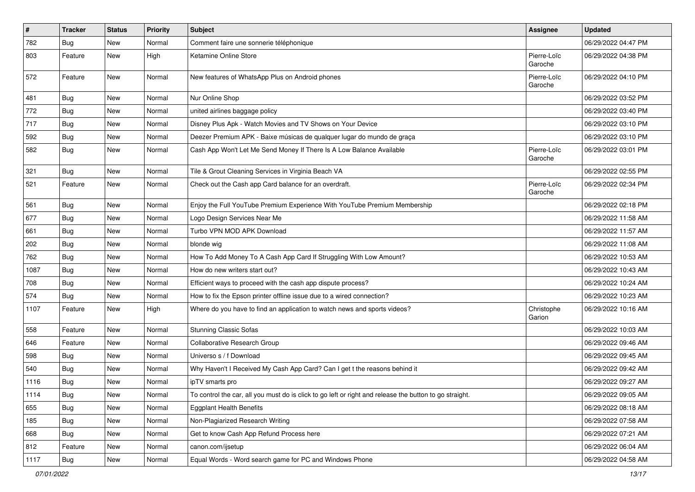| $\vert$ # | Tracker    | <b>Status</b> | <b>Priority</b> | <b>Subject</b>                                                                                          | <b>Assignee</b>        | <b>Updated</b>      |
|-----------|------------|---------------|-----------------|---------------------------------------------------------------------------------------------------------|------------------------|---------------------|
| 782       | <b>Bug</b> | New           | Normal          | Comment faire une sonnerie téléphonique                                                                 |                        | 06/29/2022 04:47 PM |
| 803       | Feature    | New           | High            | Ketamine Online Store                                                                                   | Pierre-Loïc<br>Garoche | 06/29/2022 04:38 PM |
| 572       | Feature    | New           | Normal          | New features of WhatsApp Plus on Android phones                                                         | Pierre-Loïc<br>Garoche | 06/29/2022 04:10 PM |
| 481       | Bug        | New           | Normal          | Nur Online Shop                                                                                         |                        | 06/29/2022 03:52 PM |
| 772       | <b>Bug</b> | New           | Normal          | united airlines baggage policy                                                                          |                        | 06/29/2022 03:40 PM |
| 717       | <b>Bug</b> | New           | Normal          | Disney Plus Apk - Watch Movies and TV Shows on Your Device                                              |                        | 06/29/2022 03:10 PM |
| 592       | <b>Bug</b> | New           | Normal          | Deezer Premium APK - Baixe músicas de qualquer lugar do mundo de graça                                  |                        | 06/29/2022 03:10 PM |
| 582       | <b>Bug</b> | New           | Normal          | Cash App Won't Let Me Send Money If There Is A Low Balance Available                                    | Pierre-Loïc<br>Garoche | 06/29/2022 03:01 PM |
| 321       | Bug        | New           | Normal          | Tile & Grout Cleaning Services in Virginia Beach VA                                                     |                        | 06/29/2022 02:55 PM |
| 521       | Feature    | New           | Normal          | Check out the Cash app Card balance for an overdraft.                                                   | Pierre-Loïc<br>Garoche | 06/29/2022 02:34 PM |
| 561       | Bug        | New           | Normal          | Enjoy the Full YouTube Premium Experience With YouTube Premium Membership                               |                        | 06/29/2022 02:18 PM |
| 677       | Bug        | New           | Normal          | Logo Design Services Near Me                                                                            |                        | 06/29/2022 11:58 AM |
| 661       | <b>Bug</b> | New           | Normal          | Turbo VPN MOD APK Download                                                                              |                        | 06/29/2022 11:57 AM |
| 202       | Bug        | New           | Normal          | blonde wig                                                                                              |                        | 06/29/2022 11:08 AM |
| 762       | <b>Bug</b> | New           | Normal          | How To Add Money To A Cash App Card If Struggling With Low Amount?                                      |                        | 06/29/2022 10:53 AM |
| 1087      | <b>Bug</b> | New           | Normal          | How do new writers start out?                                                                           |                        | 06/29/2022 10:43 AM |
| 708       | <b>Bug</b> | New           | Normal          | Efficient ways to proceed with the cash app dispute process?                                            |                        | 06/29/2022 10:24 AM |
| 574       | Bug        | New           | Normal          | How to fix the Epson printer offline issue due to a wired connection?                                   |                        | 06/29/2022 10:23 AM |
| 1107      | Feature    | New           | High            | Where do you have to find an application to watch news and sports videos?                               | Christophe<br>Garion   | 06/29/2022 10:16 AM |
| 558       | Feature    | New           | Normal          | <b>Stunning Classic Sofas</b>                                                                           |                        | 06/29/2022 10:03 AM |
| 646       | Feature    | New           | Normal          | Collaborative Research Group                                                                            |                        | 06/29/2022 09:46 AM |
| 598       | <b>Bug</b> | New           | Normal          | Universo s / f Download                                                                                 |                        | 06/29/2022 09:45 AM |
| 540       | Bug        | New           | Normal          | Why Haven't I Received My Cash App Card? Can I get t the reasons behind it                              |                        | 06/29/2022 09:42 AM |
| 1116      | <b>Bug</b> | New           | Normal          | ipTV smarts pro                                                                                         |                        | 06/29/2022 09:27 AM |
| 1114      | <b>Bug</b> | New           | Normal          | To control the car, all you must do is click to go left or right and release the button to go straight. |                        | 06/29/2022 09:05 AM |
| 655       | Bug        | New           | Normal          | <b>Eggplant Health Benefits</b>                                                                         |                        | 06/29/2022 08:18 AM |
| 185       | Bug        | New           | Normal          | Non-Plagiarized Research Writing                                                                        |                        | 06/29/2022 07:58 AM |
| 668       | <b>Bug</b> | New           | Normal          | Get to know Cash App Refund Process here                                                                |                        | 06/29/2022 07:21 AM |
| 812       | Feature    | New           | Normal          | canon.com/ijsetup                                                                                       |                        | 06/29/2022 06:04 AM |
| 1117      | <b>Bug</b> | New           | Normal          | Equal Words - Word search game for PC and Windows Phone                                                 |                        | 06/29/2022 04:58 AM |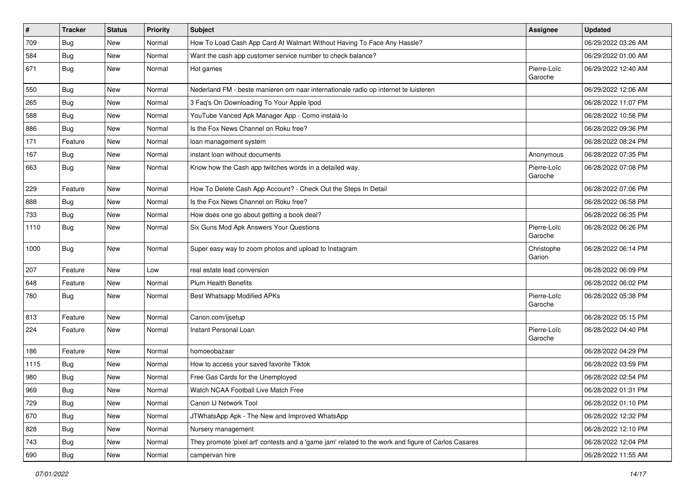| #    | <b>Tracker</b> | <b>Status</b> | <b>Priority</b> | Subject                                                                                             | <b>Assignee</b>        | <b>Updated</b>      |
|------|----------------|---------------|-----------------|-----------------------------------------------------------------------------------------------------|------------------------|---------------------|
| 709  | <b>Bug</b>     | New           | Normal          | How To Load Cash App Card At Walmart Without Having To Face Any Hassle?                             |                        | 06/29/2022 03:26 AM |
| 584  | Bug            | New           | Normal          | Want the cash app customer service number to check balance?                                         |                        | 06/29/2022 01:00 AM |
| 671  | Bug            | New           | Normal          | Hot games                                                                                           | Pierre-Loïc<br>Garoche | 06/29/2022 12:40 AM |
| 550  | Bug            | New           | Normal          | Nederland FM - beste manieren om naar internationale radio op internet te luisteren                 |                        | 06/29/2022 12:06 AM |
| 265  | Bug            | New           | Normal          | 3 Faq's On Downloading To Your Apple Ipod                                                           |                        | 06/28/2022 11:07 PM |
| 588  | Bug            | New           | Normal          | YouTube Vanced Apk Manager App - Como instalá-lo                                                    |                        | 06/28/2022 10:56 PM |
| 886  | Bug            | New           | Normal          | Is the Fox News Channel on Roku free?                                                               |                        | 06/28/2022 09:36 PM |
| 171  | Feature        | New           | Normal          | loan management system                                                                              |                        | 06/28/2022 08:24 PM |
| 167  | <b>Bug</b>     | New           | Normal          | instant loan without documents                                                                      | Anonymous              | 06/28/2022 07:35 PM |
| 663  | Bug            | New           | Normal          | Know how the Cash app twitches words in a detailed way.                                             | Pierre-Loïc<br>Garoche | 06/28/2022 07:08 PM |
| 229  | Feature        | <b>New</b>    | Normal          | How To Delete Cash App Account? - Check Out the Steps In Detail                                     |                        | 06/28/2022 07:06 PM |
| 888  | <b>Bug</b>     | New           | Normal          | Is the Fox News Channel on Roku free?                                                               |                        | 06/28/2022 06:58 PM |
| 733  | Bug            | New           | Normal          | How does one go about getting a book deal?                                                          |                        | 06/28/2022 06:35 PM |
| 1110 | Bug            | New           | Normal          | Six Guns Mod Apk Answers Your Questions                                                             | Pierre-Loïc<br>Garoche | 06/28/2022 06:26 PM |
| 1000 | Bug            | New           | Normal          | Super easy way to zoom photos and upload to Instagram                                               | Christophe<br>Garion   | 06/28/2022 06:14 PM |
| 207  | Feature        | New           | Low             | real estate lead conversion                                                                         |                        | 06/28/2022 06:09 PM |
| 648  | Feature        | New           | Normal          | <b>Plum Health Benefits</b>                                                                         |                        | 06/28/2022 06:02 PM |
| 780  | <b>Bug</b>     | New           | Normal          | <b>Best Whatsapp Modified APKs</b>                                                                  | Pierre-Loïc<br>Garoche | 06/28/2022 05:38 PM |
| 813  | Feature        | <b>New</b>    | Normal          | Canon.com/ijsetup                                                                                   |                        | 06/28/2022 05:15 PM |
| 224  | Feature        | New           | Normal          | Instant Personal Loan                                                                               | Pierre-Loïc<br>Garoche | 06/28/2022 04:40 PM |
| 186  | Feature        | New           | Normal          | homoeobazaar                                                                                        |                        | 06/28/2022 04:29 PM |
| 1115 | Bug            | New           | Normal          | How to access your saved favorite Tiktok                                                            |                        | 06/28/2022 03:59 PM |
| 980  | <b>Bug</b>     | New           | Normal          | Free Gas Cards for the Unemployed                                                                   |                        | 06/28/2022 02:54 PM |
| 969  | Bug            | New           | Normal          | Watch NCAA Football Live Match Free                                                                 |                        | 06/28/2022 01:31 PM |
| 729  | Bug            | New           | Normal          | Canon IJ Network Tool                                                                               |                        | 06/28/2022 01:10 PM |
| 670  | Bug            | New           | Normal          | JTWhatsApp Apk - The New and Improved WhatsApp                                                      |                        | 06/28/2022 12:32 PM |
| 828  | <b>Bug</b>     | New           | Normal          | Nursery management                                                                                  |                        | 06/28/2022 12:10 PM |
| 743  | Bug            | New           | Normal          | They promote 'pixel art' contests and a 'game jam' related to the work and figure of Carlos Casares |                        | 06/28/2022 12:04 PM |
| 690  | Bug            | New           | Normal          | campervan hire                                                                                      |                        | 06/28/2022 11:55 AM |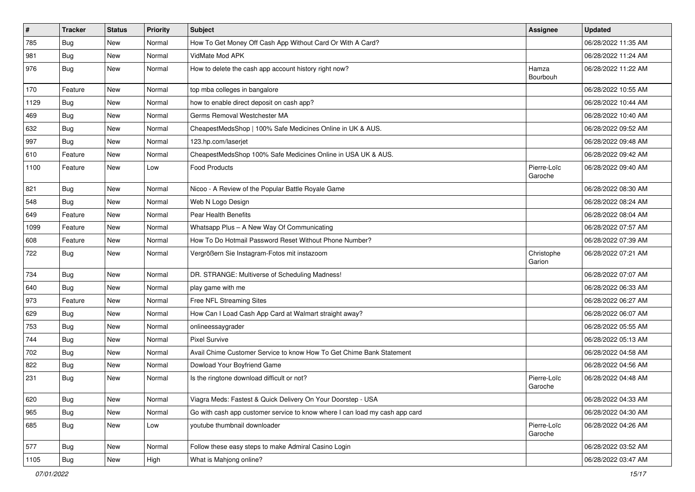| $\vert$ # | <b>Tracker</b> | <b>Status</b> | Priority | Subject                                                                     | <b>Assignee</b>        | <b>Updated</b>      |
|-----------|----------------|---------------|----------|-----------------------------------------------------------------------------|------------------------|---------------------|
| 785       | <b>Bug</b>     | New           | Normal   | How To Get Money Off Cash App Without Card Or With A Card?                  |                        | 06/28/2022 11:35 AM |
| 981       | Bug            | <b>New</b>    | Normal   | VidMate Mod APK                                                             |                        | 06/28/2022 11:24 AM |
| 976       | Bug            | New           | Normal   | How to delete the cash app account history right now?                       | Hamza<br>Bourbouh      | 06/28/2022 11:22 AM |
| 170       | Feature        | <b>New</b>    | Normal   | top mba colleges in bangalore                                               |                        | 06/28/2022 10:55 AM |
| 1129      | Bug            | New           | Normal   | how to enable direct deposit on cash app?                                   |                        | 06/28/2022 10:44 AM |
| 469       | Bug            | <b>New</b>    | Normal   | Germs Removal Westchester MA                                                |                        | 06/28/2022 10:40 AM |
| 632       | Bug            | New           | Normal   | CheapestMedsShop   100% Safe Medicines Online in UK & AUS.                  |                        | 06/28/2022 09:52 AM |
| 997       | Bug            | New           | Normal   | 123.hp.com/laserjet                                                         |                        | 06/28/2022 09:48 AM |
| 610       | Feature        | <b>New</b>    | Normal   | CheapestMedsShop 100% Safe Medicines Online in USA UK & AUS.                |                        | 06/28/2022 09:42 AM |
| 1100      | Feature        | New           | Low      | <b>Food Products</b>                                                        | Pierre-Loïc<br>Garoche | 06/28/2022 09:40 AM |
| 821       | Bug            | New           | Normal   | Nicoo - A Review of the Popular Battle Royale Game                          |                        | 06/28/2022 08:30 AM |
| 548       | <b>Bug</b>     | New           | Normal   | Web N Logo Design                                                           |                        | 06/28/2022 08:24 AM |
| 649       | Feature        | New           | Normal   | Pear Health Benefits                                                        |                        | 06/28/2022 08:04 AM |
| 1099      | Feature        | New           | Normal   | Whatsapp Plus - A New Way Of Communicating                                  |                        | 06/28/2022 07:57 AM |
| 608       | Feature        | New           | Normal   | How To Do Hotmail Password Reset Without Phone Number?                      |                        | 06/28/2022 07:39 AM |
| 722       | Bug            | New           | Normal   | Vergrößern Sie Instagram-Fotos mit instazoom                                | Christophe<br>Garion   | 06/28/2022 07:21 AM |
| 734       | Bug            | New           | Normal   | DR. STRANGE: Multiverse of Scheduling Madness!                              |                        | 06/28/2022 07:07 AM |
| 640       | Bug            | New           | Normal   | play game with me                                                           |                        | 06/28/2022 06:33 AM |
| 973       | Feature        | New           | Normal   | Free NFL Streaming Sites                                                    |                        | 06/28/2022 06:27 AM |
| 629       | <b>Bug</b>     | New           | Normal   | How Can I Load Cash App Card at Walmart straight away?                      |                        | 06/28/2022 06:07 AM |
| 753       | Bug            | New           | Normal   | onlineessaygrader                                                           |                        | 06/28/2022 05:55 AM |
| 744       | Bug            | New           | Normal   | <b>Pixel Survive</b>                                                        |                        | 06/28/2022 05:13 AM |
| 702       | Bug            | New           | Normal   | Avail Chime Customer Service to know How To Get Chime Bank Statement        |                        | 06/28/2022 04:58 AM |
| 822       | <b>Bug</b>     | New           | Normal   | Dowload Your Boyfriend Game                                                 |                        | 06/28/2022 04:56 AM |
| 231       | Bug            | New           | Normal   | Is the ringtone download difficult or not?                                  | Pierre-Loïc<br>Garoche | 06/28/2022 04:48 AM |
| 620       | Bug            | New           | Normal   | Viagra Meds: Fastest & Quick Delivery On Your Doorstep - USA                |                        | 06/28/2022 04:33 AM |
| 965       | Bug            | New           | Normal   | Go with cash app customer service to know where I can load my cash app card |                        | 06/28/2022 04:30 AM |
| 685       | Bug            | New           | Low      | youtube thumbnail downloader                                                | Pierre-Loïc<br>Garoche | 06/28/2022 04:26 AM |
| 577       | Bug            | New           | Normal   | Follow these easy steps to make Admiral Casino Login                        |                        | 06/28/2022 03:52 AM |
| 1105      | Bug            | New           | High     | What is Mahjong online?                                                     |                        | 06/28/2022 03:47 AM |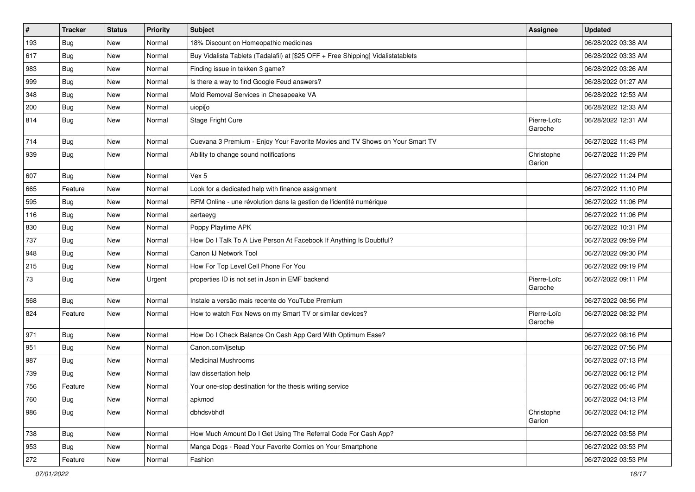| $\sharp$ | <b>Tracker</b> | <b>Status</b> | Priority | <b>Subject</b>                                                                   | <b>Assignee</b>        | <b>Updated</b>      |
|----------|----------------|---------------|----------|----------------------------------------------------------------------------------|------------------------|---------------------|
| 193      | <b>Bug</b>     | New           | Normal   | 18% Discount on Homeopathic medicines                                            |                        | 06/28/2022 03:38 AM |
| 617      | <b>Bug</b>     | New           | Normal   | Buy Vidalista Tablets (Tadalafil) at [\$25 OFF + Free Shipping] Vidalistatablets |                        | 06/28/2022 03:33 AM |
| 983      | Bug            | New           | Normal   | Finding issue in tekken 3 game?                                                  |                        | 06/28/2022 03:26 AM |
| 999      | Bug            | New           | Normal   | Is there a way to find Google Feud answers?                                      |                        | 06/28/2022 01:27 AM |
| 348      | <b>Bug</b>     | New           | Normal   | Mold Removal Services in Chesapeake VA                                           |                        | 06/28/2022 12:53 AM |
| 200      | Bug            | New           | Normal   | uiopi[o                                                                          |                        | 06/28/2022 12:33 AM |
| 814      | <b>Bug</b>     | New           | Normal   | Stage Fright Cure                                                                | Pierre-Loïc<br>Garoche | 06/28/2022 12:31 AM |
| 714      | Bug            | New           | Normal   | Cuevana 3 Premium - Enjoy Your Favorite Movies and TV Shows on Your Smart TV     |                        | 06/27/2022 11:43 PM |
| 939      | Bug            | New           | Normal   | Ability to change sound notifications                                            | Christophe<br>Garion   | 06/27/2022 11:29 PM |
| 607      | Bug            | New           | Normal   | Vex 5                                                                            |                        | 06/27/2022 11:24 PM |
| 665      | Feature        | New           | Normal   | Look for a dedicated help with finance assignment                                |                        | 06/27/2022 11:10 PM |
| 595      | <b>Bug</b>     | New           | Normal   | RFM Online - une révolution dans la gestion de l'identité numérique              |                        | 06/27/2022 11:06 PM |
| 116      | Bug            | New           | Normal   | aertaeyg                                                                         |                        | 06/27/2022 11:06 PM |
| 830      | Bug            | New           | Normal   | Poppy Playtime APK                                                               |                        | 06/27/2022 10:31 PM |
| 737      | Bug            | New           | Normal   | How Do I Talk To A Live Person At Facebook If Anything Is Doubtful?              |                        | 06/27/2022 09:59 PM |
| 948      | <b>Bug</b>     | New           | Normal   | Canon IJ Network Tool                                                            |                        | 06/27/2022 09:30 PM |
| 215      | Bug            | New           | Normal   | How For Top Level Cell Phone For You                                             |                        | 06/27/2022 09:19 PM |
| 73       | <b>Bug</b>     | New           | Urgent   | properties ID is not set in Json in EMF backend                                  | Pierre-Loïc<br>Garoche | 06/27/2022 09:11 PM |
| 568      | Bug            | <b>New</b>    | Normal   | Instale a versão mais recente do YouTube Premium                                 |                        | 06/27/2022 08:56 PM |
| 824      | Feature        | New           | Normal   | How to watch Fox News on my Smart TV or similar devices?                         | Pierre-Loïc<br>Garoche | 06/27/2022 08:32 PM |
| 971      | Bug            | New           | Normal   | How Do I Check Balance On Cash App Card With Optimum Ease?                       |                        | 06/27/2022 08:16 PM |
| 951      | <b>Bug</b>     | New           | Normal   | Canon.com/ijsetup                                                                |                        | 06/27/2022 07:56 PM |
| 987      | Bug            | New           | Normal   | <b>Medicinal Mushrooms</b>                                                       |                        | 06/27/2022 07:13 PM |
| 739      | <b>Bug</b>     | New           | Normal   | law dissertation help                                                            |                        | 06/27/2022 06:12 PM |
| 756      | Feature        | New           | Normal   | Your one-stop destination for the thesis writing service                         |                        | 06/27/2022 05:46 PM |
| 760      | <b>Bug</b>     | New           | Normal   | apkmod                                                                           |                        | 06/27/2022 04:13 PM |
| 986      | <b>Bug</b>     | New           | Normal   | dbhdsvbhdf                                                                       | Christophe<br>Garion   | 06/27/2022 04:12 PM |
| 738      | <b>Bug</b>     | New           | Normal   | How Much Amount Do I Get Using The Referral Code For Cash App?                   |                        | 06/27/2022 03:58 PM |
| 953      | Bug            | New           | Normal   | Manga Dogs - Read Your Favorite Comics on Your Smartphone                        |                        | 06/27/2022 03:53 PM |
| 272      | Feature        | New           | Normal   | Fashion                                                                          |                        | 06/27/2022 03:53 PM |